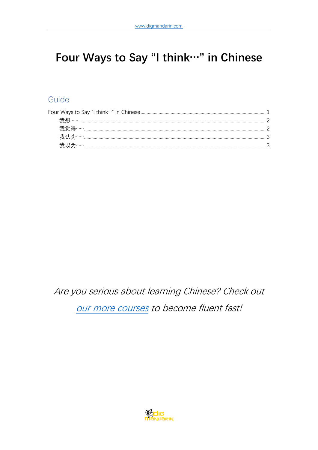# <span id="page-0-0"></span>Four Ways to Say "I think ··· " in Chinese

## Guide

Are you serious about learning Chinese? Check out

our more courses to become fluent fast!

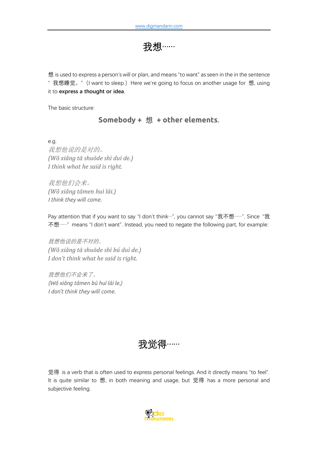我想……

<span id="page-1-0"></span>想 is used to express a person's will or plan, and means "to want" as seen in the in the sentence " 我想睡觉。"(I want to sleep.)Here we're going to focus on another usage for 想, using it to **express a thought or idea**.

The basic structure:

**Somebody + 想 + other elements**.

e.g. 我想他说的是对的。 *(Wǒ xiǎnɡ tā shuōde shì duì de.) I think what he said is right.*

我想他们会来。 *(Wǒ xiǎnɡ tāmen huì lái.) I think they will come.*

Pay attention that if you want to say "I don't think…", you cannot say "我不想……". Since "我 不想……" means "I don't want". Instead, you need to negate the following part, for example:

我想他说的是不对的。 *(Wǒ xiǎnɡ tā shuōde shì bú duì de.) I don't think what he said is right.*

我想他们不会来了。 *(Wǒ xiǎnɡ tāmen bú huì lái le.) I don't think they will come.*



<span id="page-1-1"></span>觉得 is a verb that is often used to express personal feelings. And it directly means "to feel". It is quite similar to 想, in both meaning and usage, but 觉得 has a more personal and subjective feeling.

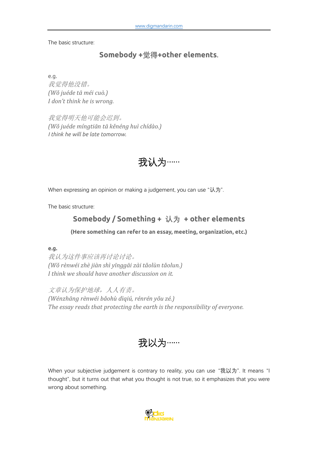The basic structure:

#### **Somebody +觉得+other elements**.

e.g. 我觉得他没错。 *(Wǒ juéde tā méi cuò.) I don't think he is wrong.*

<span id="page-2-0"></span>我觉得明天他可能会迟到。 *(Wǒ juéde mínɡtiān tā kěnénɡ huì chídào.) I think he will be late tomorrow.*



When expressing an opinion or making a judgement, you can use "认为".

The basic structure:

### **Somebody / Something + 认为 + other elements**

**(Here something can refer to an essay, meeting, organization, etc.)**

**e.g.**

我认为这件事应该再讨论讨论。 *(Wǒ rènwéi zhè jiàn shì yīnɡɡāi zài tǎolùn tǎolun.) I think we should have another discussion on it.*

文章认为保护地球,人人有责。 *(Wénzhānɡ rènwéi bǎohù dìqiú, rénrén yǒu zé.) The essay reads that protecting the earth is the responsibility of everyone.*

我以为……

<span id="page-2-1"></span>When your subjective judgement is contrary to reality, you can use "我以为". It means "I thought", but it turns out that what you thought is not true, so it emphasizes that you were wrong about something.